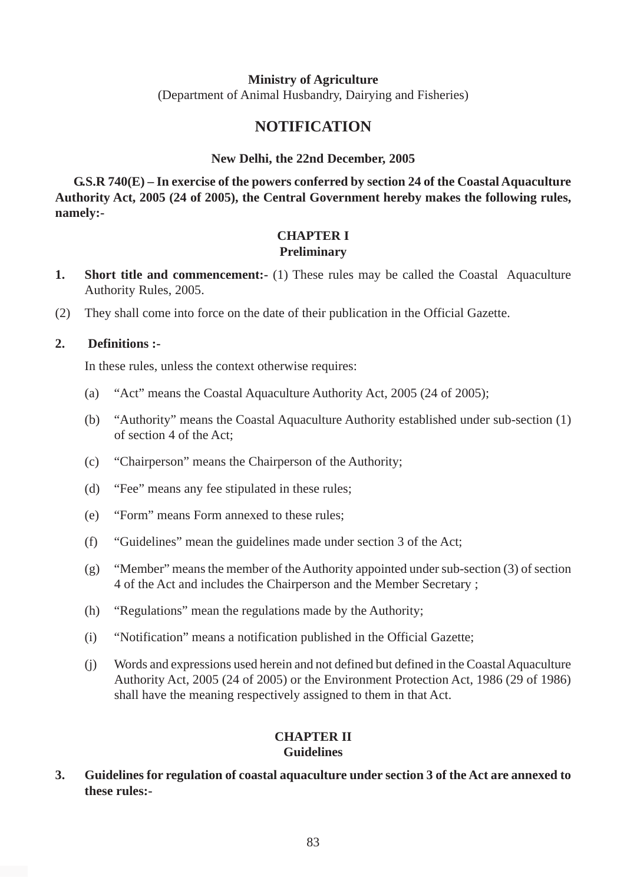#### **Ministry of Agriculture**

(Department of Animal Husbandry, Dairying and Fisheries)

# **NOTIFICATION**

#### **New Delhi, the 22nd December, 2005**

**G.S.R 740(E) – In exercise of the powers conferred by section 24 of the Coastal Aquaculture Authority Act, 2005 (24 of 2005), the Central Government hereby makes the following rules, namely:-**

#### **CHAPTER I Preliminary**

- **1.** Short title and commencement:- (1) These rules may be called the Coastal Aquaculture Authority Rules, 2005.
- (2) They shall come into force on the date of their publication in the Official Gazette.

#### **2. Definitions :-**

In these rules, unless the context otherwise requires:

- (a) "Act" means the Coastal Aquaculture Authority Act, 2005 (24 of 2005);
- (b) "Authority" means the Coastal Aquaculture Authority established under sub-section (1) of section 4 of the Act;
- (c) "Chairperson" means the Chairperson of the Authority;
- (d) "Fee" means any fee stipulated in these rules;
- (e) "Form" means Form annexed to these rules;
- (f) "Guidelines" mean the guidelines made under section 3 of the Act;
- (g) "Member" means the member of the Authority appointed under sub-section (3) of section 4 of the Act and includes the Chairperson and the Member Secretary ;
- (h) "Regulations" mean the regulations made by the Authority;
- (i) "Notification" means a notification published in the Official Gazette;
- (j) Words and expressions used herein and not defined but defined in the Coastal Aquaculture Authority Act, 2005 (24 of 2005) or the Environment Protection Act, 1986 (29 of 1986) shall have the meaning respectively assigned to them in that Act.

#### **CHAPTER II Guidelines**

**3. Guidelines for regulation of coastal aquaculture under section 3 of the Act are annexed to these rules:-**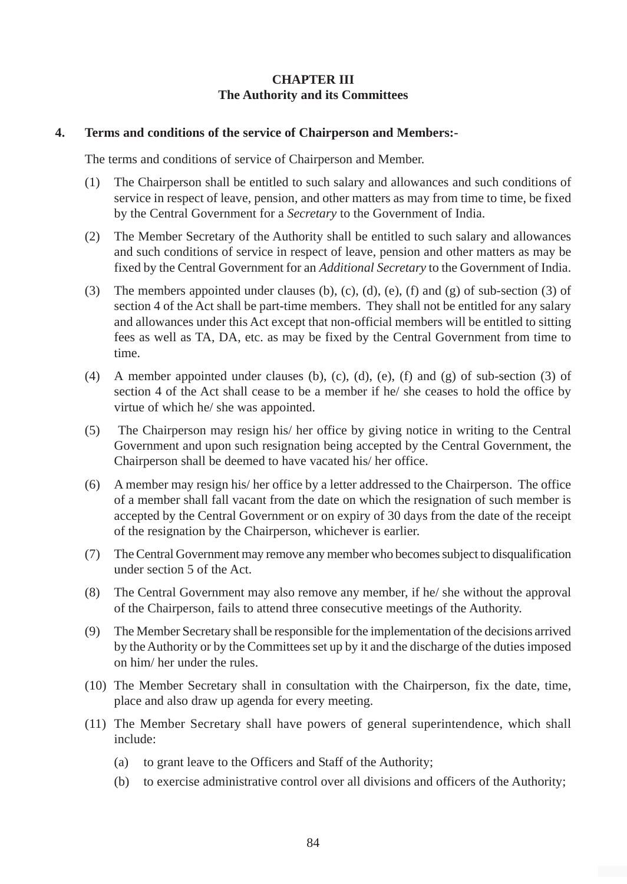# **CHAPTER III The Authority and its Committees**

#### **4. Terms and conditions of the service of Chairperson and Members:-**

The terms and conditions of service of Chairperson and Member.

- (1) The Chairperson shall be entitled to such salary and allowances and such conditions of service in respect of leave, pension, and other matters as may from time to time, be fixed by the Central Government for a *Secretary* to the Government of India.
- (2) The Member Secretary of the Authority shall be entitled to such salary and allowances and such conditions of service in respect of leave, pension and other matters as may be fixed by the Central Government for an *Additional Secretary* to the Government of India.
- (3) The members appointed under clauses (b), (c), (d), (e), (f) and (g) of sub-section (3) of section 4 of the Act shall be part-time members. They shall not be entitled for any salary and allowances under this Act except that non-official members will be entitled to sitting fees as well as TA, DA, etc. as may be fixed by the Central Government from time to time.
- (4) A member appointed under clauses (b), (c), (d), (e), (f) and (g) of sub-section (3) of section 4 of the Act shall cease to be a member if he/ she ceases to hold the office by virtue of which he/ she was appointed.
- (5) The Chairperson may resign his/ her office by giving notice in writing to the Central Government and upon such resignation being accepted by the Central Government, the Chairperson shall be deemed to have vacated his/ her office.
- (6) A member may resign his/ her office by a letter addressed to the Chairperson. The office of a member shall fall vacant from the date on which the resignation of such member is accepted by the Central Government or on expiry of 30 days from the date of the receipt of the resignation by the Chairperson, whichever is earlier.
- (7) The Central Government may remove any member who becomes subject to disqualification under section 5 of the Act.
- (8) The Central Government may also remove any member, if he/ she without the approval of the Chairperson, fails to attend three consecutive meetings of the Authority.
- (9) The Member Secretary shall be responsible for the implementation of the decisions arrived by the Authority or by the Committees set up by it and the discharge of the duties imposed on him/ her under the rules.
- (10) The Member Secretary shall in consultation with the Chairperson, fix the date, time, place and also draw up agenda for every meeting.
- (11) The Member Secretary shall have powers of general superintendence, which shall include:
	- (a) to grant leave to the Officers and Staff of the Authority;
	- (b) to exercise administrative control over all divisions and officers of the Authority;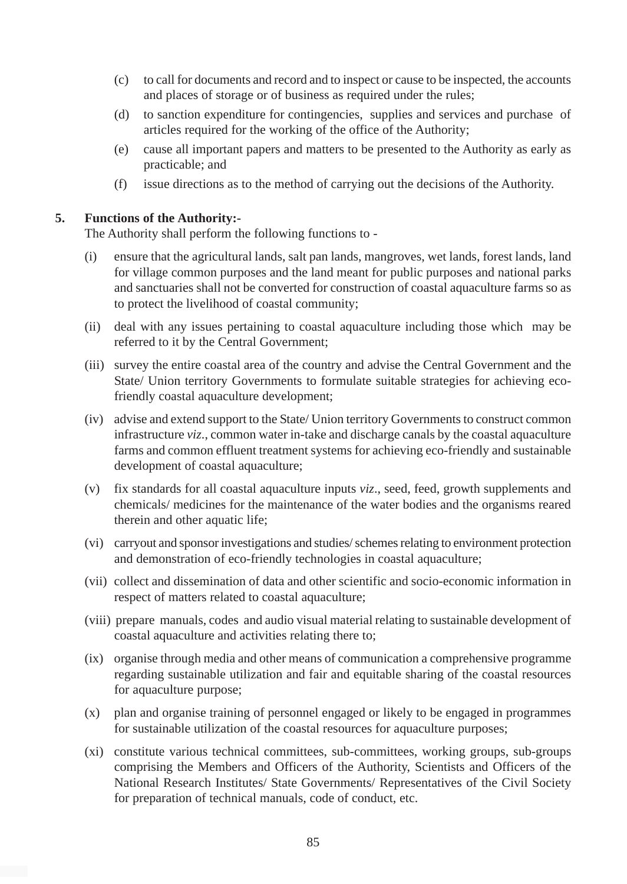- (c) to call for documents and record and to inspect or cause to be inspected, the accounts and places of storage or of business as required under the rules;
- (d) to sanction expenditure for contingencies, supplies and services and purchase of articles required for the working of the office of the Authority;
- (e) cause all important papers and matters to be presented to the Authority as early as practicable; and
- (f) issue directions as to the method of carrying out the decisions of the Authority.

#### **5. Functions of the Authority:-**

The Authority shall perform the following functions to -

- (i) ensure that the agricultural lands, salt pan lands, mangroves, wet lands, forest lands, land for village common purposes and the land meant for public purposes and national parks and sanctuaries shall not be converted for construction of coastal aquaculture farms so as to protect the livelihood of coastal community;
- (ii) deal with any issues pertaining to coastal aquaculture including those which may be referred to it by the Central Government;
- (iii) survey the entire coastal area of the country and advise the Central Government and the State/ Union territory Governments to formulate suitable strategies for achieving ecofriendly coastal aquaculture development;
- (iv) advise and extend support to the State/ Union territory Governments to construct common infrastructure *viz*., common water in-take and discharge canals by the coastal aquaculture farms and common effluent treatment systems for achieving eco-friendly and sustainable development of coastal aquaculture;
- (v) fix standards for all coastal aquaculture inputs *viz*., seed, feed, growth supplements and chemicals/ medicines for the maintenance of the water bodies and the organisms reared therein and other aquatic life;
- (vi) carryout and sponsor investigations and studies/ schemes relating to environment protection and demonstration of eco-friendly technologies in coastal aquaculture;
- (vii) collect and dissemination of data and other scientific and socio-economic information in respect of matters related to coastal aquaculture;
- (viii) prepare manuals, codes and audio visual material relating to sustainable development of coastal aquaculture and activities relating there to;
- (ix) organise through media and other means of communication a comprehensive programme regarding sustainable utilization and fair and equitable sharing of the coastal resources for aquaculture purpose;
- (x) plan and organise training of personnel engaged or likely to be engaged in programmes for sustainable utilization of the coastal resources for aquaculture purposes;
- (xi) constitute various technical committees, sub-committees, working groups, sub-groups comprising the Members and Officers of the Authority, Scientists and Officers of the National Research Institutes/ State Governments/ Representatives of the Civil Society for preparation of technical manuals, code of conduct, etc.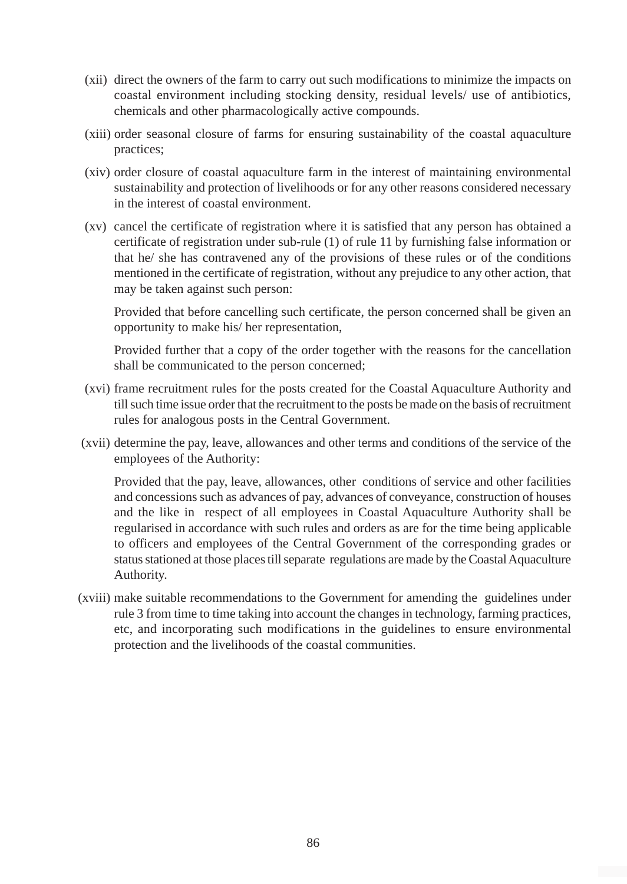- (xii) direct the owners of the farm to carry out such modifications to minimize the impacts on coastal environment including stocking density, residual levels/ use of antibiotics, chemicals and other pharmacologically active compounds.
- (xiii) order seasonal closure of farms for ensuring sustainability of the coastal aquaculture practices;
- (xiv) order closure of coastal aquaculture farm in the interest of maintaining environmental sustainability and protection of livelihoods or for any other reasons considered necessary in the interest of coastal environment.
- (xv) cancel the certificate of registration where it is satisfied that any person has obtained a certificate of registration under sub-rule (1) of rule 11 by furnishing false information or that he/ she has contravened any of the provisions of these rules or of the conditions mentioned in the certificate of registration, without any prejudice to any other action, that may be taken against such person:

Provided that before cancelling such certificate, the person concerned shall be given an opportunity to make his/ her representation,

Provided further that a copy of the order together with the reasons for the cancellation shall be communicated to the person concerned;

- (xvi) frame recruitment rules for the posts created for the Coastal Aquaculture Authority and till such time issue order that the recruitment to the posts be made on the basis of recruitment rules for analogous posts in the Central Government.
- (xvii) determine the pay, leave, allowances and other terms and conditions of the service of the employees of the Authority:

Provided that the pay, leave, allowances, other conditions of service and other facilities and concessions such as advances of pay, advances of conveyance, construction of houses and the like in respect of all employees in Coastal Aquaculture Authority shall be regularised in accordance with such rules and orders as are for the time being applicable to officers and employees of the Central Government of the corresponding grades or status stationed at those places till separate regulations are made by the Coastal Aquaculture Authority.

(xviii) make suitable recommendations to the Government for amending the guidelines under rule 3 from time to time taking into account the changes in technology, farming practices, etc, and incorporating such modifications in the guidelines to ensure environmental protection and the livelihoods of the coastal communities.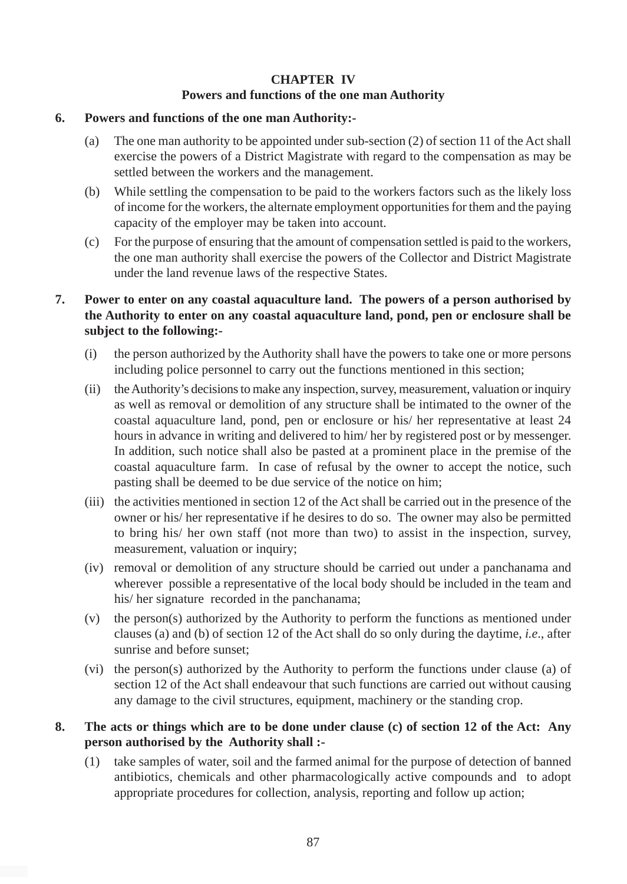# **CHAPTER IV Powers and functions of the one man Authority**

#### **6. Powers and functions of the one man Authority:-**

- (a) The one man authority to be appointed under sub-section (2) of section 11 of the Act shall exercise the powers of a District Magistrate with regard to the compensation as may be settled between the workers and the management.
- (b) While settling the compensation to be paid to the workers factors such as the likely loss of income for the workers, the alternate employment opportunities for them and the paying capacity of the employer may be taken into account.
- (c) For the purpose of ensuring that the amount of compensation settled is paid to the workers, the one man authority shall exercise the powers of the Collector and District Magistrate under the land revenue laws of the respective States.

# **7. Power to enter on any coastal aquaculture land. The powers of a person authorised by the Authority to enter on any coastal aquaculture land, pond, pen or enclosure shall be subject to the following:-**

- (i) the person authorized by the Authority shall have the powers to take one or more persons including police personnel to carry out the functions mentioned in this section;
- (ii) the Authority's decisions to make any inspection, survey, measurement, valuation or inquiry as well as removal or demolition of any structure shall be intimated to the owner of the coastal aquaculture land, pond, pen or enclosure or his/ her representative at least 24 hours in advance in writing and delivered to him/ her by registered post or by messenger. In addition, such notice shall also be pasted at a prominent place in the premise of the coastal aquaculture farm. In case of refusal by the owner to accept the notice, such pasting shall be deemed to be due service of the notice on him;
- (iii) the activities mentioned in section 12 of the Act shall be carried out in the presence of the owner or his/ her representative if he desires to do so. The owner may also be permitted to bring his/ her own staff (not more than two) to assist in the inspection, survey, measurement, valuation or inquiry;
- (iv) removal or demolition of any structure should be carried out under a panchanama and wherever possible a representative of the local body should be included in the team and his/ her signature recorded in the panchanama;
- (v) the person(s) authorized by the Authority to perform the functions as mentioned under clauses (a) and (b) of section 12 of the Act shall do so only during the daytime, *i.e*., after sunrise and before sunset;
- (vi) the person(s) authorized by the Authority to perform the functions under clause (a) of section 12 of the Act shall endeavour that such functions are carried out without causing any damage to the civil structures, equipment, machinery or the standing crop.

# **8. The acts or things which are to be done under clause (c) of section 12 of the Act: Any person authorised by the Authority shall :-**

(1) take samples of water, soil and the farmed animal for the purpose of detection of banned antibiotics, chemicals and other pharmacologically active compounds and to adopt appropriate procedures for collection, analysis, reporting and follow up action;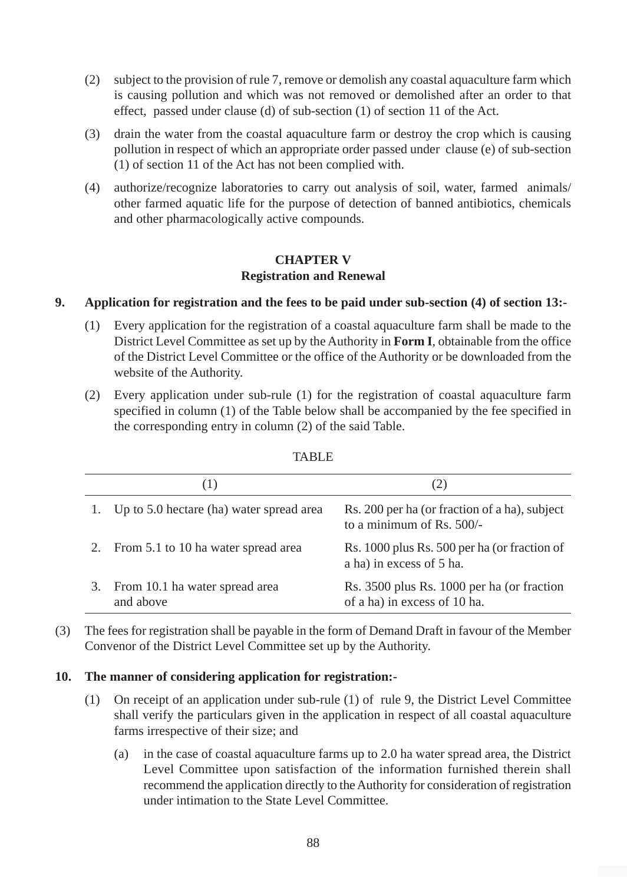- (2) subject to the provision of rule 7, remove or demolish any coastal aquaculture farm which is causing pollution and which was not removed or demolished after an order to that effect, passed under clause (d) of sub-section (1) of section 11 of the Act.
- (3) drain the water from the coastal aquaculture farm or destroy the crop which is causing pollution in respect of which an appropriate order passed under clause (e) of sub-section (1) of section 11 of the Act has not been complied with.
- (4) authorize/recognize laboratories to carry out analysis of soil, water, farmed animals/ other farmed aquatic life for the purpose of detection of banned antibiotics, chemicals and other pharmacologically active compounds.

#### **CHAPTER V Registration and Renewal**

### **9. Application for registration and the fees to be paid under sub-section (4) of section 13:-**

- (1) Every application for the registration of a coastal aquaculture farm shall be made to the District Level Committee as set up by the Authority in **Form I**, obtainable from the office of the District Level Committee or the office of the Authority or be downloaded from the website of the Authority.
- (2) Every application under sub-rule (1) for the registration of coastal aquaculture farm specified in column (1) of the Table below shall be accompanied by the fee specified in the corresponding entry in column (2) of the said Table.

|                                             | (2)                                                                        |
|---------------------------------------------|----------------------------------------------------------------------------|
| 1. Up to 5.0 hectare (ha) water spread area | Rs. 200 per ha (or fraction of a ha), subject<br>to a minimum of Rs. 500/- |
| 2. From 5.1 to 10 ha water spread area      | Rs. 1000 plus Rs. 500 per ha (or fraction of<br>a ha) in excess of 5 ha.   |
| From 10.1 ha water spread area<br>and above | Rs. 3500 plus Rs. 1000 per ha (or fraction<br>of a ha) in excess of 10 ha. |

#### TABLE

(3) The fees for registration shall be payable in the form of Demand Draft in favour of the Member Convenor of the District Level Committee set up by the Authority.

#### **10. The manner of considering application for registration:-**

- (1) On receipt of an application under sub-rule (1) of rule 9, the District Level Committee shall verify the particulars given in the application in respect of all coastal aquaculture farms irrespective of their size; and
	- (a) in the case of coastal aquaculture farms up to 2.0 ha water spread area, the District Level Committee upon satisfaction of the information furnished therein shall recommend the application directly to the Authority for consideration of registration under intimation to the State Level Committee.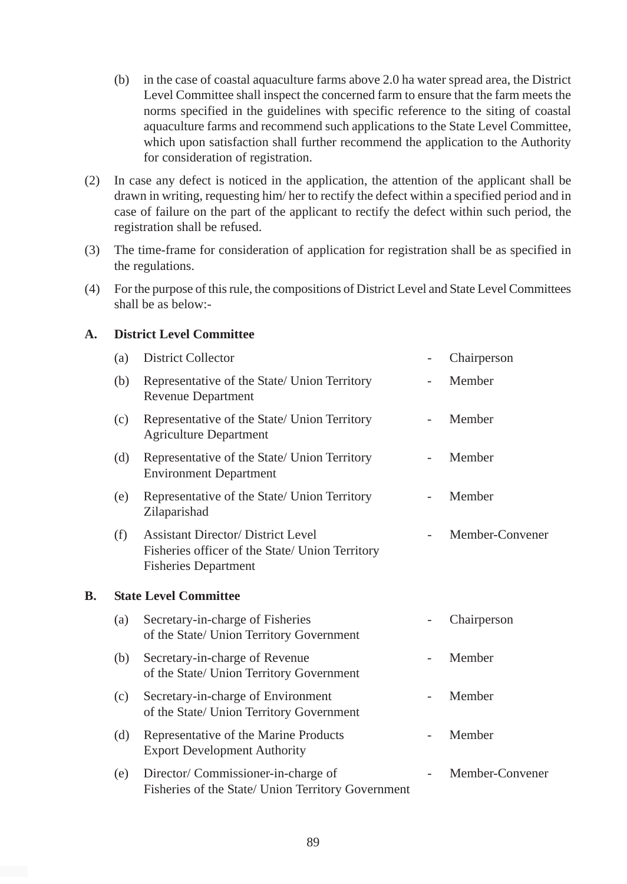- (b) in the case of coastal aquaculture farms above 2.0 ha water spread area, the District Level Committee shall inspect the concerned farm to ensure that the farm meets the norms specified in the guidelines with specific reference to the siting of coastal aquaculture farms and recommend such applications to the State Level Committee, which upon satisfaction shall further recommend the application to the Authority for consideration of registration.
- (2) In case any defect is noticed in the application, the attention of the applicant shall be drawn in writing, requesting him/ her to rectify the defect within a specified period and in case of failure on the part of the applicant to rectify the defect within such period, the registration shall be refused.
- (3) The time-frame for consideration of application for registration shall be as specified in the regulations.
- (4) For the purpose of this rule, the compositions of District Level and State Level Committees shall be as below:-

#### **A. District Level Committee**

|    | (a) | <b>District Collector</b>                                                                                                   | Chairperson     |
|----|-----|-----------------------------------------------------------------------------------------------------------------------------|-----------------|
|    | (b) | Representative of the State/ Union Territory<br><b>Revenue Department</b>                                                   | Member          |
|    | (c) | Representative of the State/ Union Territory<br><b>Agriculture Department</b>                                               | Member          |
|    | (d) | Representative of the State/ Union Territory<br><b>Environment Department</b>                                               | Member          |
|    | (e) | Representative of the State/ Union Territory<br>Zilaparishad                                                                | Member          |
|    | (f) | <b>Assistant Director/ District Level</b><br>Fisheries officer of the State/ Union Territory<br><b>Fisheries Department</b> | Member-Convener |
| В. |     | <b>State Level Committee</b>                                                                                                |                 |
|    | (a) | Secretary-in-charge of Fisheries<br>of the State/ Union Territory Government                                                | Chairperson     |
|    | (b) | Secretary-in-charge of Revenue<br>of the State/ Union Territory Government                                                  | Member          |
|    | (c) | Secretary-in-charge of Environment<br>of the State/ Union Territory Government                                              | Member          |
|    | (d) | Representative of the Marine Products<br><b>Export Development Authority</b>                                                | Member          |
|    | (e) | Director/ Commissioner-in-charge of<br>Fisheries of the State/ Union Territory Government                                   | Member-Convener |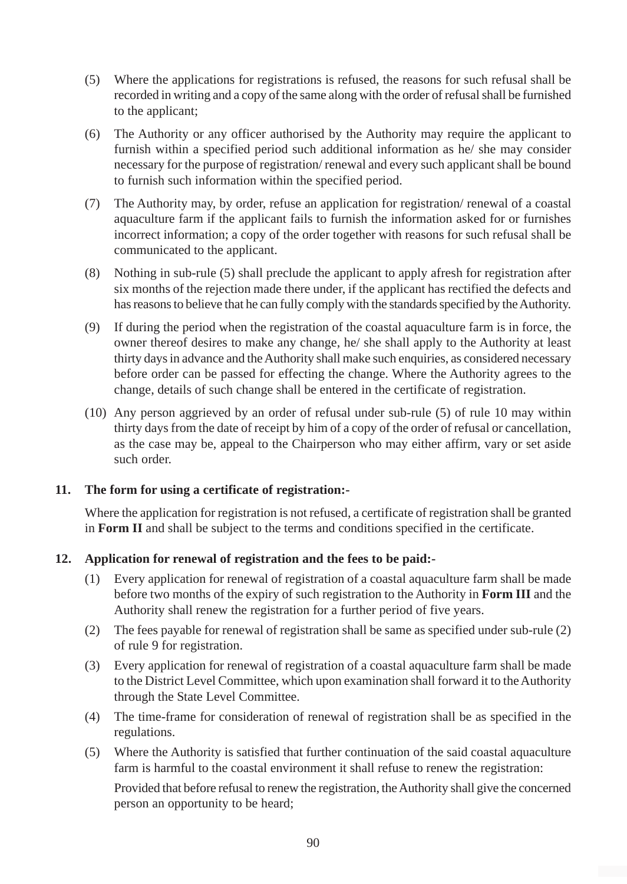- (5) Where the applications for registrations is refused, the reasons for such refusal shall be recorded in writing and a copy of the same along with the order of refusal shall be furnished to the applicant;
- (6) The Authority or any officer authorised by the Authority may require the applicant to furnish within a specified period such additional information as he/ she may consider necessary for the purpose of registration/ renewal and every such applicant shall be bound to furnish such information within the specified period.
- (7) The Authority may, by order, refuse an application for registration/ renewal of a coastal aquaculture farm if the applicant fails to furnish the information asked for or furnishes incorrect information; a copy of the order together with reasons for such refusal shall be communicated to the applicant.
- (8) Nothing in sub-rule (5) shall preclude the applicant to apply afresh for registration after six months of the rejection made there under, if the applicant has rectified the defects and has reasons to believe that he can fully comply with the standards specified by the Authority.
- (9) If during the period when the registration of the coastal aquaculture farm is in force, the owner thereof desires to make any change, he/ she shall apply to the Authority at least thirty days in advance and the Authority shall make such enquiries, as considered necessary before order can be passed for effecting the change. Where the Authority agrees to the change, details of such change shall be entered in the certificate of registration.
- (10) Any person aggrieved by an order of refusal under sub-rule (5) of rule 10 may within thirty days from the date of receipt by him of a copy of the order of refusal or cancellation, as the case may be, appeal to the Chairperson who may either affirm, vary or set aside such order.

# **11. The form for using a certificate of registration:-**

Where the application for registration is not refused, a certificate of registration shall be granted in **Form II** and shall be subject to the terms and conditions specified in the certificate.

# **12. Application for renewal of registration and the fees to be paid:-**

- (1) Every application for renewal of registration of a coastal aquaculture farm shall be made before two months of the expiry of such registration to the Authority in **Form III** and the Authority shall renew the registration for a further period of five years.
- (2) The fees payable for renewal of registration shall be same as specified under sub-rule (2) of rule 9 for registration.
- (3) Every application for renewal of registration of a coastal aquaculture farm shall be made to the District Level Committee, which upon examination shall forward it to the Authority through the State Level Committee.
- (4) The time-frame for consideration of renewal of registration shall be as specified in the regulations.
- (5) Where the Authority is satisfied that further continuation of the said coastal aquaculture farm is harmful to the coastal environment it shall refuse to renew the registration:

Provided that before refusal to renew the registration, the Authority shall give the concerned person an opportunity to be heard;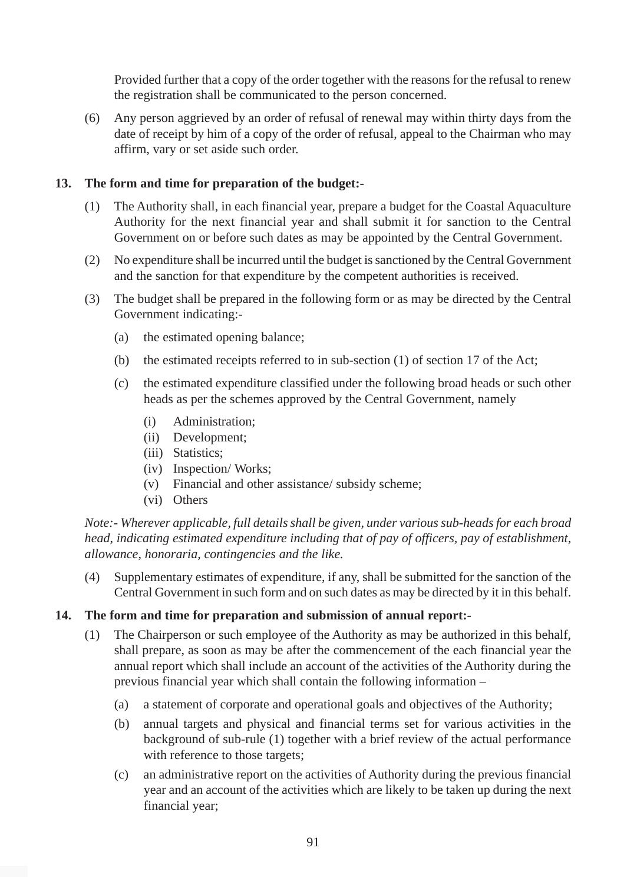Provided further that a copy of the order together with the reasons for the refusal to renew the registration shall be communicated to the person concerned.

(6) Any person aggrieved by an order of refusal of renewal may within thirty days from the date of receipt by him of a copy of the order of refusal, appeal to the Chairman who may affirm, vary or set aside such order.

#### **13. The form and time for preparation of the budget:-**

- (1) The Authority shall, in each financial year, prepare a budget for the Coastal Aquaculture Authority for the next financial year and shall submit it for sanction to the Central Government on or before such dates as may be appointed by the Central Government.
- (2) No expenditure shall be incurred until the budget is sanctioned by the Central Government and the sanction for that expenditure by the competent authorities is received.
- (3) The budget shall be prepared in the following form or as may be directed by the Central Government indicating:-
	- (a) the estimated opening balance;
	- (b) the estimated receipts referred to in sub-section (1) of section 17 of the Act;
	- (c) the estimated expenditure classified under the following broad heads or such other heads as per the schemes approved by the Central Government, namely
		- (i) Administration;
		- (ii) Development;
		- (iii) Statistics;
		- (iv) Inspection/ Works;
		- (v) Financial and other assistance/ subsidy scheme;
		- (vi) Others

*Note:- Wherever applicable, full details shall be given, under various sub-heads for each broad head, indicating estimated expenditure including that of pay of officers, pay of establishment, allowance, honoraria, contingencies and the like.*

(4) Supplementary estimates of expenditure, if any, shall be submitted for the sanction of the Central Government in such form and on such dates as may be directed by it in this behalf.

#### **14. The form and time for preparation and submission of annual report:-**

- (1) The Chairperson or such employee of the Authority as may be authorized in this behalf, shall prepare, as soon as may be after the commencement of the each financial year the annual report which shall include an account of the activities of the Authority during the previous financial year which shall contain the following information –
	- (a) a statement of corporate and operational goals and objectives of the Authority;
	- (b) annual targets and physical and financial terms set for various activities in the background of sub-rule (1) together with a brief review of the actual performance with reference to those targets;
	- (c) an administrative report on the activities of Authority during the previous financial year and an account of the activities which are likely to be taken up during the next financial year;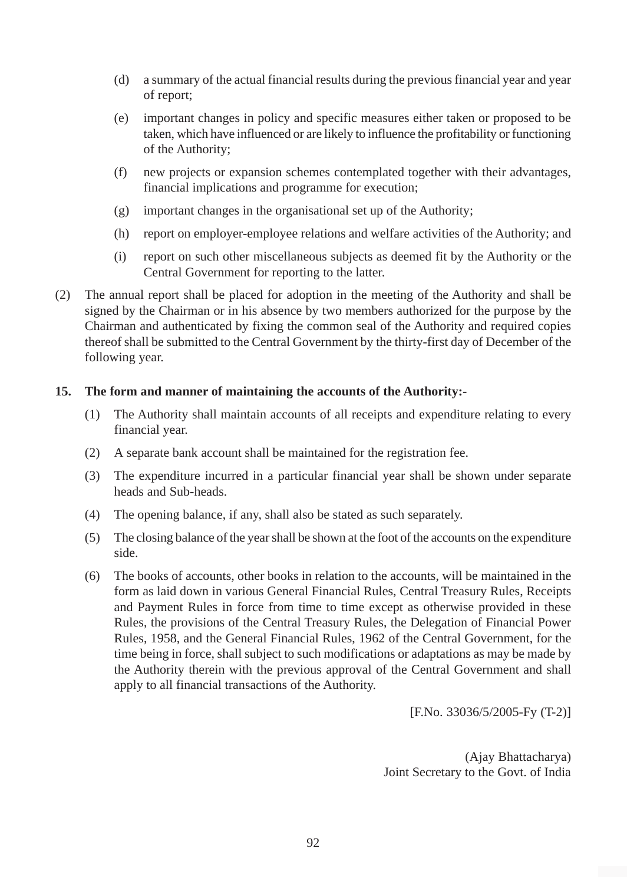- (d) a summary of the actual financial results during the previous financial year and year of report;
- (e) important changes in policy and specific measures either taken or proposed to be taken, which have influenced or are likely to influence the profitability or functioning of the Authority;
- (f) new projects or expansion schemes contemplated together with their advantages, financial implications and programme for execution;
- (g) important changes in the organisational set up of the Authority;
- (h) report on employer-employee relations and welfare activities of the Authority; and
- (i) report on such other miscellaneous subjects as deemed fit by the Authority or the Central Government for reporting to the latter.
- (2) The annual report shall be placed for adoption in the meeting of the Authority and shall be signed by the Chairman or in his absence by two members authorized for the purpose by the Chairman and authenticated by fixing the common seal of the Authority and required copies thereof shall be submitted to the Central Government by the thirty-first day of December of the following year.

### **15. The form and manner of maintaining the accounts of the Authority:-**

- (1) The Authority shall maintain accounts of all receipts and expenditure relating to every financial year.
- (2) A separate bank account shall be maintained for the registration fee.
- (3) The expenditure incurred in a particular financial year shall be shown under separate heads and Sub-heads.
- (4) The opening balance, if any, shall also be stated as such separately.
- (5) The closing balance of the year shall be shown at the foot of the accounts on the expenditure side.
- (6) The books of accounts, other books in relation to the accounts, will be maintained in the form as laid down in various General Financial Rules, Central Treasury Rules, Receipts and Payment Rules in force from time to time except as otherwise provided in these Rules, the provisions of the Central Treasury Rules, the Delegation of Financial Power Rules, 1958, and the General Financial Rules, 1962 of the Central Government, for the time being in force, shall subject to such modifications or adaptations as may be made by the Authority therein with the previous approval of the Central Government and shall apply to all financial transactions of the Authority.

[F.No. 33036/5/2005-Fy (T-2)]

(Ajay Bhattacharya) Joint Secretary to the Govt. of India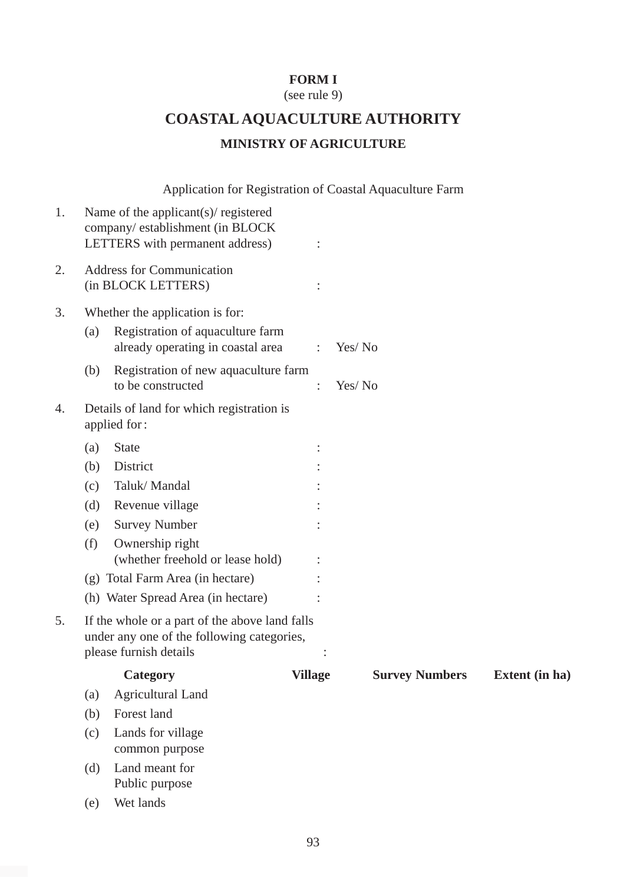# **FORM I**

(see rule 9)

# **COASTAL AQUACULTURE AUTHORITY MINISTRY OF AGRICULTURE**

Application for Registration of Coastal Aquaculture Farm

| 1. |                                                        | Name of the applicant(s)/ registered<br>company/establishment (in BLOCK<br>LETTERS with permanent address)             | $\ddot{\cdot}$ |                       |                |
|----|--------------------------------------------------------|------------------------------------------------------------------------------------------------------------------------|----------------|-----------------------|----------------|
| 2. | <b>Address for Communication</b><br>(in BLOCK LETTERS) |                                                                                                                        |                |                       |                |
| 3. |                                                        | Whether the application is for:                                                                                        |                |                       |                |
|    | (a)                                                    | Registration of aquaculture farm<br>already operating in coastal area                                                  | $\ddot{\cdot}$ | Yes/No                |                |
|    | (b)                                                    | Registration of new aquaculture farm<br>to be constructed                                                              | $\ddot{\cdot}$ | Yes/No                |                |
| 4. |                                                        | Details of land for which registration is<br>applied for:                                                              |                |                       |                |
|    | (a)                                                    | <b>State</b>                                                                                                           |                |                       |                |
|    | (b)                                                    | District                                                                                                               |                |                       |                |
|    | (c)                                                    | Taluk/Mandal                                                                                                           |                |                       |                |
|    | (d)                                                    | Revenue village                                                                                                        |                |                       |                |
|    | (e)                                                    | <b>Survey Number</b>                                                                                                   |                |                       |                |
|    | (f)                                                    | Ownership right<br>(whether freehold or lease hold)                                                                    |                |                       |                |
|    |                                                        | (g) Total Farm Area (in hectare)                                                                                       |                |                       |                |
|    |                                                        | (h) Water Spread Area (in hectare)                                                                                     |                |                       |                |
| 5. |                                                        | If the whole or a part of the above land falls<br>under any one of the following categories,<br>please furnish details |                |                       |                |
|    |                                                        | Category                                                                                                               | <b>Village</b> | <b>Survey Numbers</b> | Extent (in ha) |
|    | (a)                                                    | <b>Agricultural Land</b>                                                                                               |                |                       |                |
|    | (b)                                                    | Forest land                                                                                                            |                |                       |                |
|    | (c)                                                    | Lands for village<br>common purpose                                                                                    |                |                       |                |
|    | (d)                                                    | Land meant for<br>Public purpose                                                                                       |                |                       |                |
|    | (e)                                                    | Wet lands                                                                                                              |                |                       |                |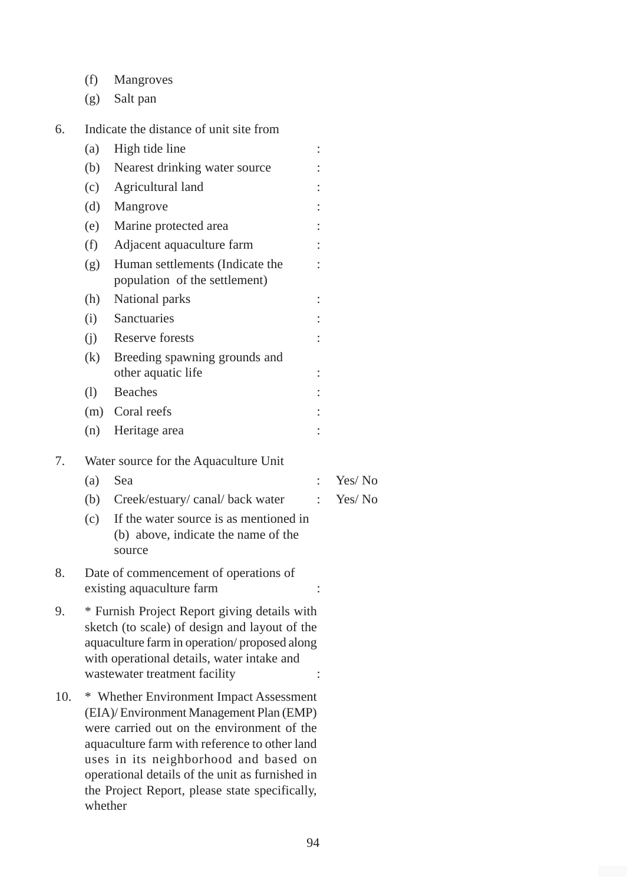- (f) Mangroves
- (g) Salt pan
- 6. Indicate the distance of unit site from

|     | (a)                                                                                                                                                                                                                                                                                                                                         | High tide line                                                                          |                      |        |
|-----|---------------------------------------------------------------------------------------------------------------------------------------------------------------------------------------------------------------------------------------------------------------------------------------------------------------------------------------------|-----------------------------------------------------------------------------------------|----------------------|--------|
|     | (b)                                                                                                                                                                                                                                                                                                                                         | Nearest drinking water source                                                           |                      |        |
|     | (c)                                                                                                                                                                                                                                                                                                                                         | Agricultural land                                                                       |                      |        |
|     | (d)                                                                                                                                                                                                                                                                                                                                         | Mangrove                                                                                |                      |        |
|     | (e)                                                                                                                                                                                                                                                                                                                                         | Marine protected area                                                                   |                      |        |
|     | (f)                                                                                                                                                                                                                                                                                                                                         | Adjacent aquaculture farm                                                               |                      |        |
|     | (g)                                                                                                                                                                                                                                                                                                                                         | Human settlements (Indicate the<br>population of the settlement)                        |                      |        |
|     | (h)                                                                                                                                                                                                                                                                                                                                         | National parks                                                                          | $\ddot{\cdot}$       |        |
|     | (i)                                                                                                                                                                                                                                                                                                                                         | Sanctuaries                                                                             |                      |        |
|     | (j)                                                                                                                                                                                                                                                                                                                                         | Reserve forests                                                                         | $\ddot{\cdot}$       |        |
|     | (k)                                                                                                                                                                                                                                                                                                                                         | Breeding spawning grounds and<br>other aquatic life                                     | $\vdots$             |        |
|     | (1)                                                                                                                                                                                                                                                                                                                                         | <b>Beaches</b>                                                                          |                      |        |
|     | (m)                                                                                                                                                                                                                                                                                                                                         | Coral reefs                                                                             |                      |        |
|     | (n)                                                                                                                                                                                                                                                                                                                                         | Heritage area                                                                           |                      |        |
| 7.  |                                                                                                                                                                                                                                                                                                                                             | Water source for the Aquaculture Unit                                                   |                      |        |
|     | (a)                                                                                                                                                                                                                                                                                                                                         | Sea                                                                                     | $\ddot{\phantom{a}}$ | Yes/No |
|     | (b)                                                                                                                                                                                                                                                                                                                                         | Creek/estuary/canal/back water                                                          | $\ddot{\cdot}$       | Yes/No |
|     | (c)                                                                                                                                                                                                                                                                                                                                         | If the water source is as mentioned in<br>(b) above, indicate the name of the<br>source |                      |        |
| 8.  | Date of commencement of operations of<br>existing aquaculture farm                                                                                                                                                                                                                                                                          |                                                                                         |                      |        |
| 9.  | * Furnish Project Report giving details with<br>sketch (to scale) of design and layout of the<br>aquaculture farm in operation/proposed along<br>with operational details, water intake and<br>wastewater treatment facility                                                                                                                |                                                                                         |                      |        |
| 10. | * Whether Environment Impact Assessment<br>(EIA)/ Environment Management Plan (EMP)<br>were carried out on the environment of the<br>aquaculture farm with reference to other land<br>uses in its neighborhood and based on<br>operational details of the unit as furnished in<br>the Project Report, please state specifically,<br>whether |                                                                                         |                      |        |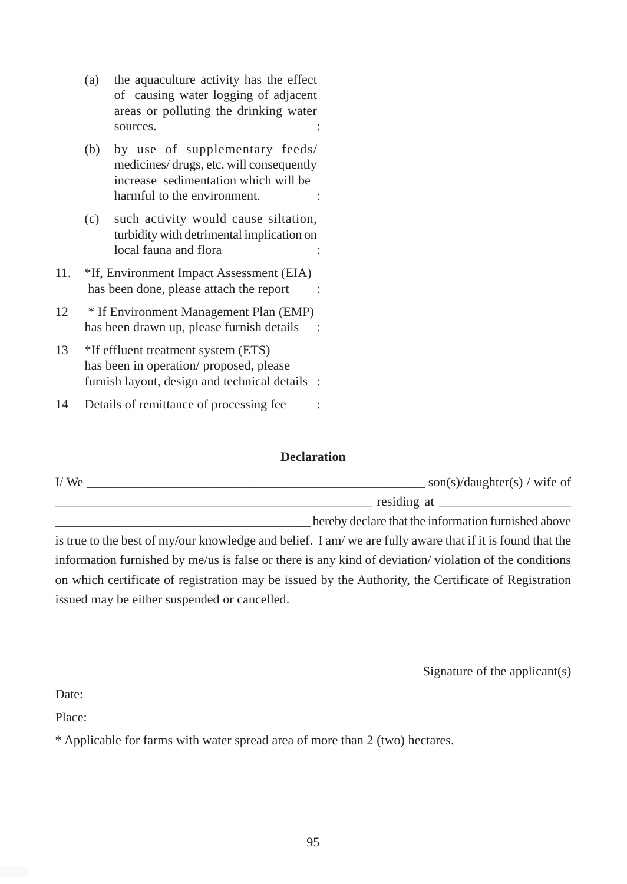- (a) the aquaculture activity has the effect of causing water logging of adjacent areas or polluting the drinking water sources.
- (b) by use of supplementary feeds/ medicines/ drugs, etc. will consequently increase sedimentation which will be harmful to the environment.  $\cdot$
- (c) such activity would cause siltation, turbidity with detrimental implication on local fauna and flora
- 11. \*If, Environment Impact Assessment (EIA) has been done, please attach the report :
- 12 \* If Environment Management Plan (EMP) has been drawn up, please furnish details :
- 13 \*If effluent treatment system (ETS) has been in operation/ proposed, please furnish layout, design and technical details :

14 Details of remittance of processing fee

#### **Declaration**

| I/We | son(s)/daughter(s) / wife of                        |
|------|-----------------------------------------------------|
|      | residing at                                         |
|      | hereby declare that the information furnished above |

is true to the best of my/our knowledge and belief. I am/ we are fully aware that if it is found that the information furnished by me/us is false or there is any kind of deviation/ violation of the conditions on which certificate of registration may be issued by the Authority, the Certificate of Registration issued may be either suspended or cancelled.

Signature of the applicant(s)

Date:

Place:

\* Applicable for farms with water spread area of more than 2 (two) hectares.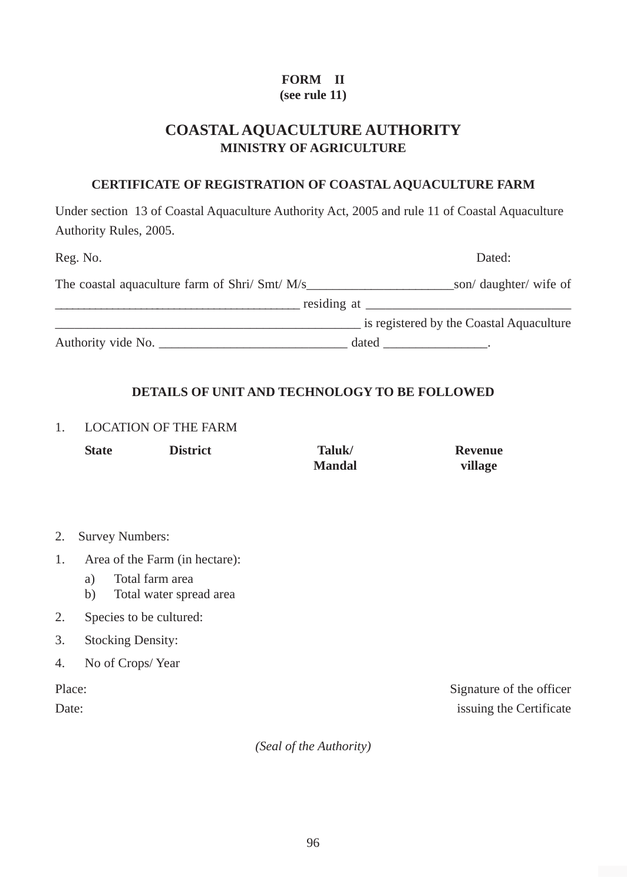# **FORM II**

# **(see rule 11)**

# **COASTAL AQUACULTURE AUTHORITY MINISTRY OF AGRICULTURE**

### **CERTIFICATE OF REGISTRATION OF COASTAL AQUACULTURE FARM**

Under section 13 of Coastal Aquaculture Authority Act, 2005 and rule 11 of Coastal Aquaculture Authority Rules, 2005.

| Reg. No.                                       | Dated:                                                                                                                                                                                                                         |
|------------------------------------------------|--------------------------------------------------------------------------------------------------------------------------------------------------------------------------------------------------------------------------------|
| The coastal aquaculture farm of Shri/ Smt/ M/s | son/ daughter/ wife of                                                                                                                                                                                                         |
|                                                | residing at the contract of the contract of the contract of the contract of the contract of the contract of the contract of the contract of the contract of the contract of the contract of the contract of the contract of th |
|                                                | is registered by the Coastal Aquaculture                                                                                                                                                                                       |
| Authority vide No.                             | dated                                                                                                                                                                                                                          |

# **DETAILS OF UNIT AND TECHNOLOGY TO BE FOLLOWED**

#### 1. LOCATION OF THE FARM

| <b>State</b> | <b>District</b> | Taluk/        | <b>Revenue</b> |
|--------------|-----------------|---------------|----------------|
|              |                 | <b>Mandal</b> | village        |

- 2. Survey Numbers:
- 1. Area of the Farm (in hectare):
	- a) Total farm area
	- b) Total water spread area
- 2. Species to be cultured:
- 3. Stocking Density:
- 4. No of Crops/ Year

Place: Signature of the officer Date: issuing the Certificate

*(Seal of the Authority)*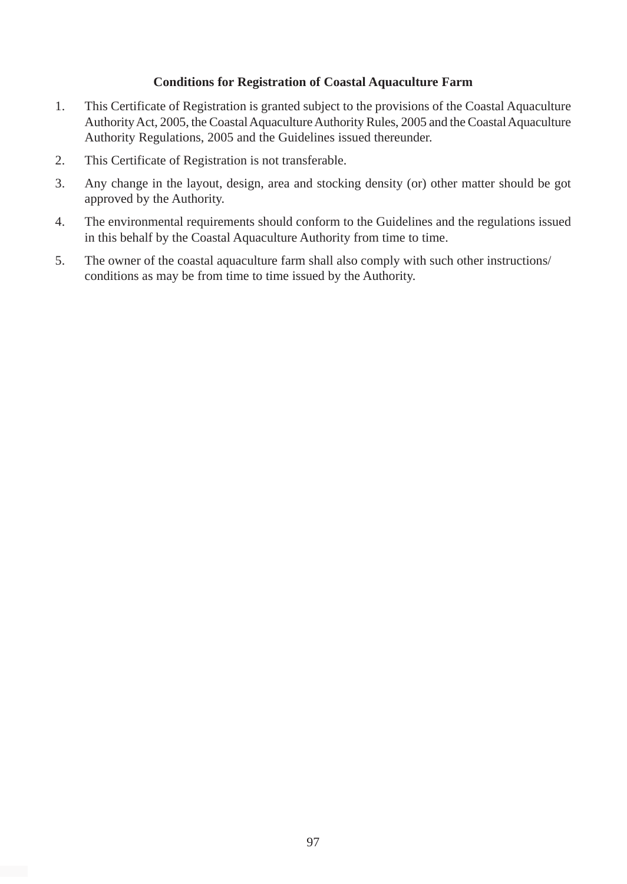#### **Conditions for Registration of Coastal Aquaculture Farm**

- 1. This Certificate of Registration is granted subject to the provisions of the Coastal Aquaculture Authority Act, 2005, the Coastal Aquaculture Authority Rules, 2005 and the Coastal Aquaculture Authority Regulations, 2005 and the Guidelines issued thereunder.
- 2. This Certificate of Registration is not transferable.
- 3. Any change in the layout, design, area and stocking density (or) other matter should be got approved by the Authority.
- 4. The environmental requirements should conform to the Guidelines and the regulations issued in this behalf by the Coastal Aquaculture Authority from time to time.
- 5. The owner of the coastal aquaculture farm shall also comply with such other instructions/ conditions as may be from time to time issued by the Authority.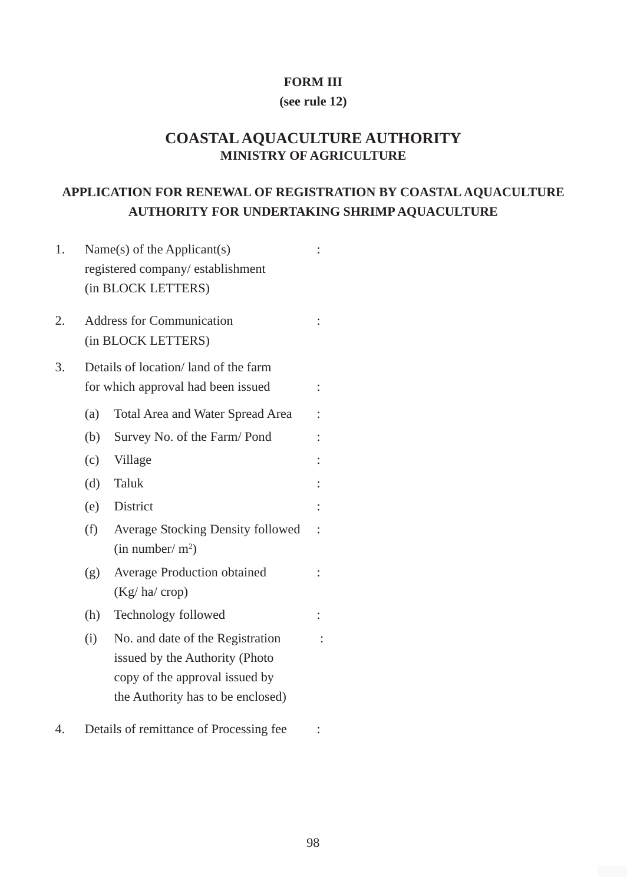#### **FORM III**

#### **(see rule 12)**

# **COASTAL AQUACULTURE AUTHORITY MINISTRY OF AGRICULTURE**

# **APPLICATION FOR RENEWAL OF REGISTRATION BY COASTAL AQUACULTURE AUTHORITY FOR UNDERTAKING SHRIMP AQUACULTURE**

| 1. |     | Name $(s)$ of the Applicant $(s)$                                |  |
|----|-----|------------------------------------------------------------------|--|
|    |     | registered company/establishment                                 |  |
|    |     | (in BLOCK LETTERS)                                               |  |
| 2. |     | <b>Address for Communication</b>                                 |  |
|    |     | (in BLOCK LETTERS)                                               |  |
| 3. |     | Details of location/land of the farm                             |  |
|    |     | for which approval had been issued                               |  |
|    | (a) | Total Area and Water Spread Area                                 |  |
|    | (b) | Survey No. of the Farm/Pond                                      |  |
|    | (c) | Village                                                          |  |
|    | (d) | Taluk                                                            |  |
|    | (e) | District                                                         |  |
|    | (f) | Average Stocking Density followed<br>(in number/m <sup>2</sup> ) |  |
|    | (g) | Average Production obtained<br>$(Kg/ha/$ crop)                   |  |
|    | (h) | Technology followed                                              |  |
|    | (i) | No. and date of the Registration                                 |  |
|    |     | issued by the Authority (Photo                                   |  |
|    |     | copy of the approval issued by                                   |  |
|    |     | the Authority has to be enclosed)                                |  |
| 4. |     | Details of remittance of Processing fee                          |  |